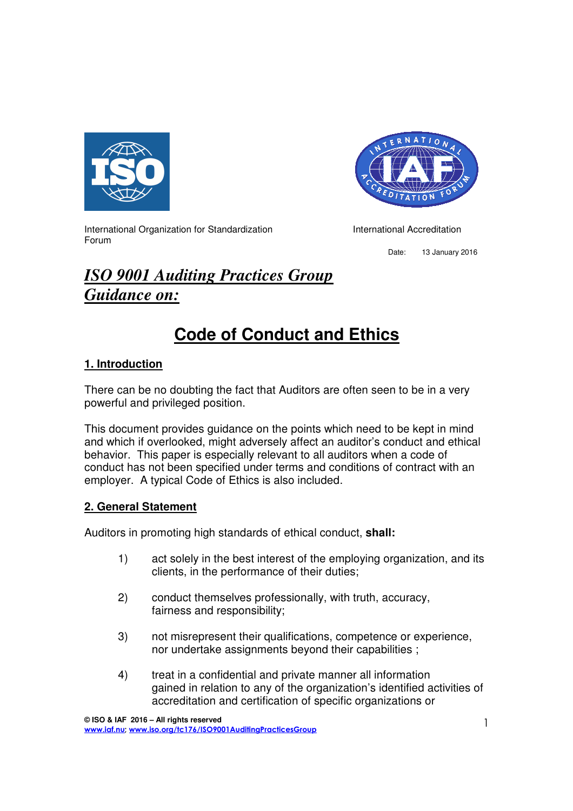



International Organization for Standardization International Accreditation Forum

Date: 13 January 2016

## *ISO 9001 Auditing Practices Group Guidance on:*

# **Code of Conduct and Ethics**

## **1. Introduction**

There can be no doubting the fact that Auditors are often seen to be in a very powerful and privileged position.

This document provides guidance on the points which need to be kept in mind and which if overlooked, might adversely affect an auditor's conduct and ethical behavior. This paper is especially relevant to all auditors when a code of conduct has not been specified under terms and conditions of contract with an employer. A typical Code of Ethics is also included.

## **2. General Statement**

Auditors in promoting high standards of ethical conduct, **shall:** 

- 1) act solely in the best interest of the employing organization, and its clients, in the performance of their duties;
- 2) conduct themselves professionally, with truth, accuracy, fairness and responsibility;
- 3) not misrepresent their qualifications, competence or experience, nor undertake assignments beyond their capabilities ;
- 4) treat in a confidential and private manner all information gained in relation to any of the organization's identified activities of accreditation and certification of specific organizations or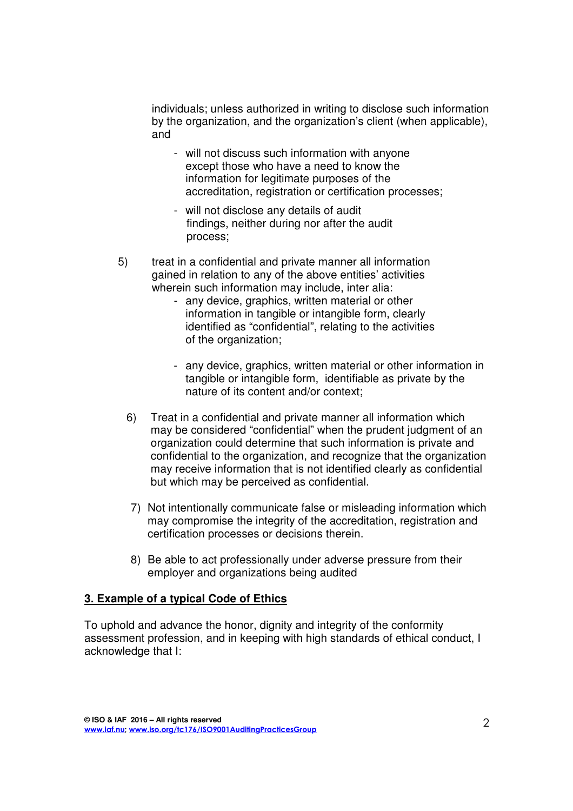individuals; unless authorized in writing to disclose such information by the organization, and the organization's client (when applicable), and

- will not discuss such information with anyone except those who have a need to know the information for legitimate purposes of the accreditation, registration or certification processes;
- will not disclose any details of audit findings, neither during nor after the audit process;
- 5) treat in a confidential and private manner all information gained in relation to any of the above entities' activities wherein such information may include, inter alia:
	- any device, graphics, written material or other information in tangible or intangible form, clearly identified as "confidential", relating to the activities of the organization;
	- any device, graphics, written material or other information in tangible or intangible form, identifiable as private by the nature of its content and/or context;
	- 6) Treat in a confidential and private manner all information which may be considered "confidential" when the prudent judgment of an organization could determine that such information is private and confidential to the organization, and recognize that the organization may receive information that is not identified clearly as confidential but which may be perceived as confidential.
	- 7) Not intentionally communicate false or misleading information which may compromise the integrity of the accreditation, registration and certification processes or decisions therein.
	- 8) Be able to act professionally under adverse pressure from their employer and organizations being audited

#### **3. Example of a typical Code of Ethics**

To uphold and advance the honor, dignity and integrity of the conformity assessment profession, and in keeping with high standards of ethical conduct, I acknowledge that I: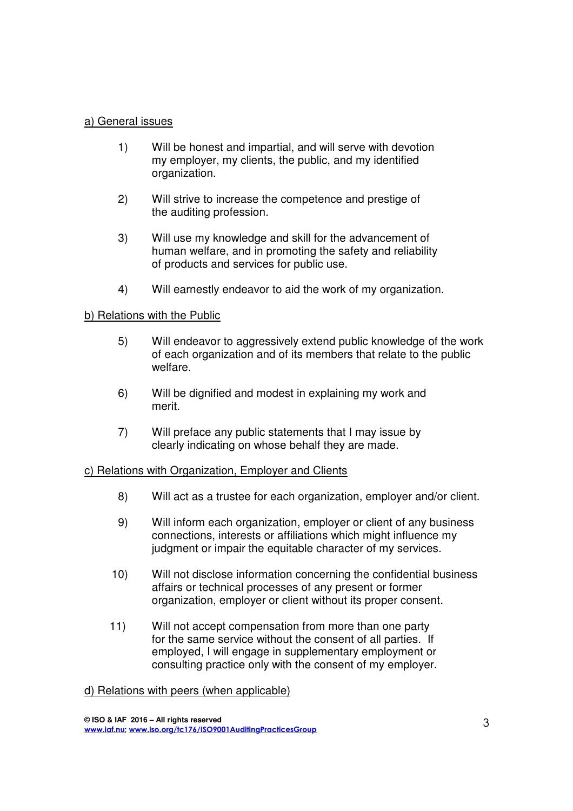#### a) General issues

- 1) Will be honest and impartial, and will serve with devotion my employer, my clients, the public, and my identified organization.
- 2) Will strive to increase the competence and prestige of the auditing profession.
- 3) Will use my knowledge and skill for the advancement of human welfare, and in promoting the safety and reliability of products and services for public use.
- 4) Will earnestly endeavor to aid the work of my organization.

### b) Relations with the Public

- 5) Will endeavor to aggressively extend public knowledge of the work of each organization and of its members that relate to the public welfare.
- 6) Will be dignified and modest in explaining my work and merit.
- 7) Will preface any public statements that I may issue by clearly indicating on whose behalf they are made.

#### c) Relations with Organization, Employer and Clients

- 8) Will act as a trustee for each organization, employer and/or client.
- 9) Will inform each organization, employer or client of any business connections, interests or affiliations which might influence my judgment or impair the equitable character of my services.
- 10) Will not disclose information concerning the confidential business affairs or technical processes of any present or former organization, employer or client without its proper consent.
- 11) Will not accept compensation from more than one party for the same service without the consent of all parties. If employed, I will engage in supplementary employment or consulting practice only with the consent of my employer.

#### d) Relations with peers (when applicable)